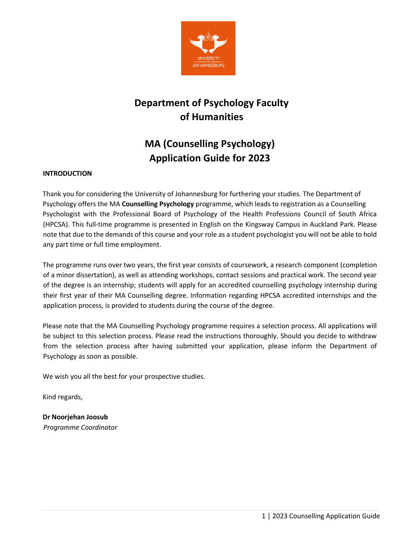

# **Department of Psychology Faculty of Humanities**

# **MA (Counselling Psychology) Application Guide for 2023**

# **INTRODUCTION**

Thank you for considering the University of Johannesburg for furthering your studies. The Department of Psychology offers the MA **Counselling Psychology** programme, which leads to registration as a Counselling Psychologist with the Professional Board of Psychology of the Health Professions Council of South Africa (HPCSA). This full-time programme is presented in English on the Kingsway Campus in Auckland Park. Please note that due to the demands of this course and your role as a student psychologist you will not be able to hold any part time or full time employment.

The programme runs over two years, the first year consists of coursework, a research component (completion of a minor dissertation), as well as attending workshops, contact sessions and practical work. The second year of the degree is an internship; students will apply for an accredited counselling psychology internship during their first year of their MA Counselling degree. Information regarding HPCSA accredited internships and the application process, is provided to students during the course of the degree.

Please note that the MA Counselling Psychology programme requires a selection process. All applications will be subject to this selection process. Please read the instructions thoroughly. Should you decide to withdraw from the selection process after having submitted your application, please inform the Department of Psychology as soon as possible.

We wish you all the best for your prospective studies.

Kind regards,

**Dr Noorjehan Joosub** *Programme Coordinator*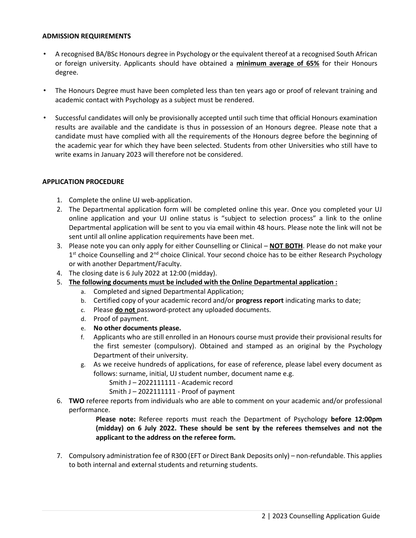#### **ADMISSION REQUIREMENTS**

- A recognised BA/BSc Honours degree in Psychology or the equivalent thereof at a recognised South African or foreign university. Applicants should have obtained a **minimum average of 65%** for their Honours degree.
- The Honours Degree must have been completed less than ten years ago or proof of relevant training and academic contact with Psychology as a subject must be rendered.
- Successful candidates will only be provisionally accepted until such time that official Honours examination results are available and the candidate is thus in possession of an Honours degree. Please note that a candidate must have complied with all the requirements of the Honours degree before the beginning of the academic year for which they have been selected. Students from other Universities who still have to write exams in January 2023 will therefore not be considered.

## **APPLICATION PROCEDURE**

- 1. Complete the online UJ web-application.
- 2. The Departmental application form will be completed online this year. Once you completed your UJ online application and your UJ online status is "subject to selection process" a link to the online Departmental application will be sent to you via email within 48 hours. Please note the link will not be sent until all online application requirements have been met.
- 3. Please note you can only apply for either Counselling or Clinical **NOT BOTH**. Please do not make your 1<sup>st</sup> choice Counselling and 2<sup>nd</sup> choice Clinical. Your second choice has to be either Research Psychology or with another Department/Faculty.
- 4. The closing date is 6 July 2022 at 12:00 (midday).
- 5. **The following documents must be included with the Online Departmental application :**
	- a. Completed and signed Departmental Application;
	- b. Certified copy of your academic record and/or **progress report** indicating marks to date;
	- c. Please **do not** password-protect any uploaded documents.
	- d. Proof of payment.
	- e. **No other documents please.**
	- f. Applicants who are still enrolled in an Honours course must provide their provisional results for the first semester (compulsory). Obtained and stamped as an original by the Psychology Department of their university.
	- g. As we receive hundreds of applications, for ease of reference, please label every document as follows: surname, initial, UJ student number, document name e.g.

Smith J – 2022111111 - Academic record

Smith J – 2022111111 - Proof of payment

6. **TWO** referee reports from individuals who are able to comment on your academic and/or professional performance.

> **Please note:** Referee reports must reach the Department of Psychology **before 12:00pm (midday) on 6 July 2022. These should be sent by the referees themselves and not the applicant to the address on the referee form.**

7. Compulsory administration fee of R300 (EFT or Direct Bank Deposits only) – non-refundable. This applies to both internal and external students and returning students.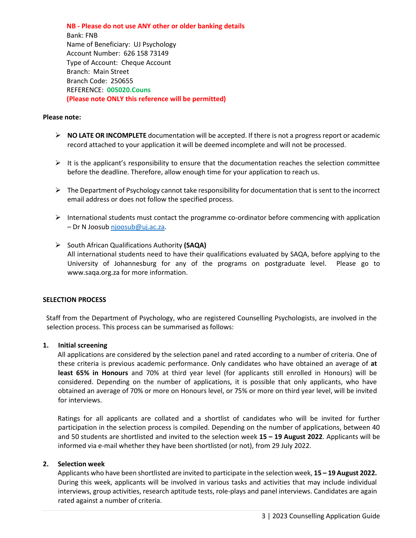**NB - Please do not use ANY other or older banking details**  Bank: FNB Name of Beneficiary: UJ Psychology Account Number: 626 158 73149 Type of Account: Cheque Account Branch: Main Street Branch Code: 250655 REFERENCE: **005020.Couns (Please note ONLY this reference will be permitted)** 

### **Please note:**

- **NO LATE OR INCOMPLETE** documentation will be accepted. If there is not a progress report or academic record attached to your application it will be deemed incomplete and will not be processed.
- $\triangleright$  It is the applicant's responsibility to ensure that the documentation reaches the selection committee before the deadline. Therefore, allow enough time for your application to reach us.
- $\triangleright$  The Department of Psychology cannot take responsibility for documentation that is sent to the incorrect email address or does not follow the specified process.
- $\triangleright$  International students must contact the programme co-ordinator before commencing with application – Dr N Joosub [njoosub@uj.ac.za.](mailto:njoosub@uj.ac.za)
- South African Qualifications Authority **(SAQA)** All international students need to have their qualifications evaluated by SAQA, before applying to the University of Johannesburg for any of the programs on postgraduate level. Please go to www.saqa.org.za for more information.

## **SELECTION PROCESS**

Staff from the Department of Psychology, who are registered Counselling Psychologists, are involved in the selection process. This process can be summarised as follows:

#### **1. Initial screening**

All applications are considered by the selection panel and rated according to a number of criteria. One of these criteria is previous academic performance. Only candidates who have obtained an average of **at least 65% in Honours** and 70% at third year level (for applicants still enrolled in Honours) will be considered. Depending on the number of applications, it is possible that only applicants, who have obtained an average of 70% or more on Honours level, or 75% or more on third year level, will be invited for interviews.

Ratings for all applicants are collated and a shortlist of candidates who will be invited for further participation in the selection process is compiled. Depending on the number of applications, between 40 and 50 students are shortlisted and invited to the selection week **15 – 19 August 2022**. Applicants will be informed via e-mail whether they have been shortlisted (or not), from 29 July 2022.

#### **2. Selection week**

Applicants who have been shortlisted are invited to participate in the selection week, **15 – 19 August 2022.** During this week, applicants will be involved in various tasks and activities that may include individual interviews, group activities, research aptitude tests, role-plays and panel interviews. Candidates are again rated against a number of criteria.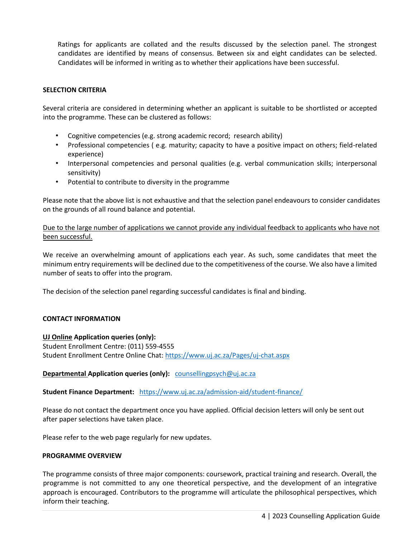Ratings for applicants are collated and the results discussed by the selection panel. The strongest candidates are identified by means of consensus. Between six and eight candidates can be selected. Candidates will be informed in writing as to whether their applications have been successful.

## **SELECTION CRITERIA**

Several criteria are considered in determining whether an applicant is suitable to be shortlisted or accepted into the programme. These can be clustered as follows:

- Cognitive competencies (e.g. strong academic record; research ability)
- Professional competencies ( e.g. maturity; capacity to have a positive impact on others; field-related experience)
- Interpersonal competencies and personal qualities (e.g. verbal communication skills; interpersonal sensitivity)
- Potential to contribute to diversity in the programme

Please note that the above list is not exhaustive and that the selection panel endeavours to consider candidates on the grounds of all round balance and potential.

Due to the large number of applications we cannot provide any individual feedback to applicants who have not been successful.

We receive an overwhelming amount of applications each year. As such, some candidates that meet the minimum entry requirements will be declined due to the competitiveness of the course. We also have a limited number of seats to offer into the program.

The decision of the selection panel regarding successful candidates is final and binding.

### **CONTACT INFORMATION**

#### **UJ Online Application queries (only):**

Student Enrollment Centre: (011) 559-4555 Student Enrollment Centre Online Chat:<https://www.uj.ac.za/Pages/uj-chat.aspx>

## **Departmental Application queries (only):** [counsellingpsych@uj.ac.za](mailto:counsellingpsych@uj.ac.za)

**Student Finance Department:** <https://www.uj.ac.za/admission-aid/student-finance/>

Please do not contact the department once you have applied. Official decision letters will only be sent out after paper selections have taken place.

Please refer to the web page regularly for new updates.

#### **PROGRAMME OVERVIEW**

The programme consists of three major components: coursework, practical training and research. Overall, the programme is not committed to any one theoretical perspective, and the development of an integrative approach is encouraged. Contributors to the programme will articulate the philosophical perspectives, which inform their teaching.